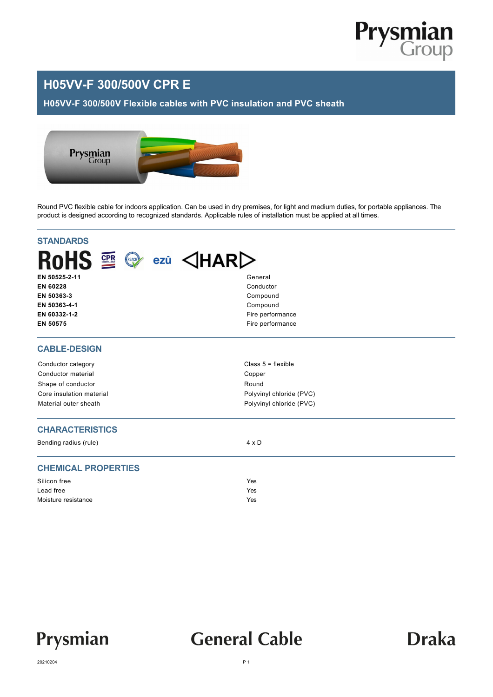

## **H05VV-F 300/500V CPR E**

**H05VV-F 300/500V Flexible cables with PVC insulation and PVC sheath**



Round PVC flexible cable for indoors application. Can be used in dry premises, for light and medium duties, for portable appliances. The product is designed according to recognized standards. Applicable rules of installation must be applied at all times.

| <b>STANDARDS</b>                                                              |                          |  |  |  |  |  |  |  |
|-------------------------------------------------------------------------------|--------------------------|--|--|--|--|--|--|--|
| <b>RoHS</b><br>REACH<br>$\triangle$ HAR $\triangleright$<br><b>CPR</b><br>ezū |                          |  |  |  |  |  |  |  |
| EN 50525-2-11                                                                 | General                  |  |  |  |  |  |  |  |
| EN 60228                                                                      | Conductor                |  |  |  |  |  |  |  |
| EN 50363-3                                                                    | Compound                 |  |  |  |  |  |  |  |
| EN 50363-4-1                                                                  | Compound                 |  |  |  |  |  |  |  |
| EN 60332-1-2                                                                  | Fire performance         |  |  |  |  |  |  |  |
| EN 50575                                                                      | Fire performance         |  |  |  |  |  |  |  |
| <b>CABLE-DESIGN</b>                                                           |                          |  |  |  |  |  |  |  |
| Conductor category                                                            | Class $5 =$ flexible     |  |  |  |  |  |  |  |
| Conductor material                                                            | Copper                   |  |  |  |  |  |  |  |
| Shape of conductor                                                            | Round                    |  |  |  |  |  |  |  |
| Core insulation material                                                      | Polyvinyl chloride (PVC) |  |  |  |  |  |  |  |
| Material outer sheath                                                         | Polyvinyl chloride (PVC) |  |  |  |  |  |  |  |
| <b>CHARACTERISTICS</b>                                                        |                          |  |  |  |  |  |  |  |
| Bending radius (rule)                                                         | $4 \times D$             |  |  |  |  |  |  |  |
| <b>CHEMICAL PROPERTIES</b>                                                    |                          |  |  |  |  |  |  |  |
| Silicon free                                                                  | Yes                      |  |  |  |  |  |  |  |
| Lead free                                                                     | Yes                      |  |  |  |  |  |  |  |
| Moisture resistance                                                           | Yes                      |  |  |  |  |  |  |  |



## **General Cable**